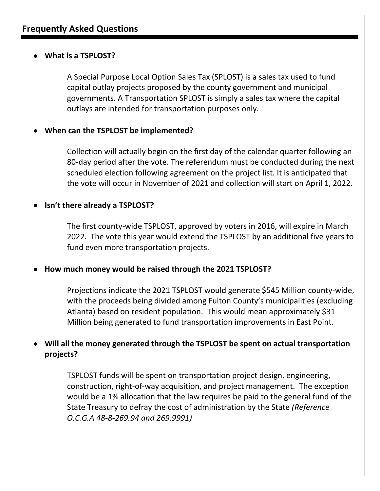# **Frequently Asked Questions**

#### • **What is a TSPLOST?**

A Special Purpose Local Option Sales Tax (SPLOST) is a sales tax used to fund capital outlay projects proposed by the county government and municipal governments. A Transportation SPLOST is simply a sales tax where the capital outlays are intended for transportation purposes only.

## • **When can the TSPLOST be implemented?**

Collection will actually begin on the first day of the calendar quarter following an 80-day period after the vote. The referendum must be conducted during the next scheduled election following agreement on the project list. It is anticipated that the vote will occur in November of 2021 and collection will start on April 1, 2022.

## • **Isn't there already a TSPLOST?**

The first county-wide TSPLOST, approved by voters in 2016, will expire in March 2022. The vote this year would extend the TSPLOST by an additional five years to fund even more transportation projects.

#### • **How much money would be raised through the 2021 TSPLOST?**

Projections indicate the 2021 TSPLOST would generate \$545 Million county-wide, with the proceeds being divided among Fulton County's municipalities (excluding Atlanta) based on resident population. This would mean approximately \$31 Million being generated to fund transportation improvements in East Point.

# • **Will all the money generated through the TSPLOST be spent on actual transportation projects?**

TSPLOST funds will be spent on transportation project design, engineering, construction, right-of-way acquisition, and project management. The exception would be a 1% allocation that the law requires be paid to the general fund of the State Treasury to defray the cost of administration by the State *(Reference O.C.G.A 48-8-269.94 and 269.9991)*